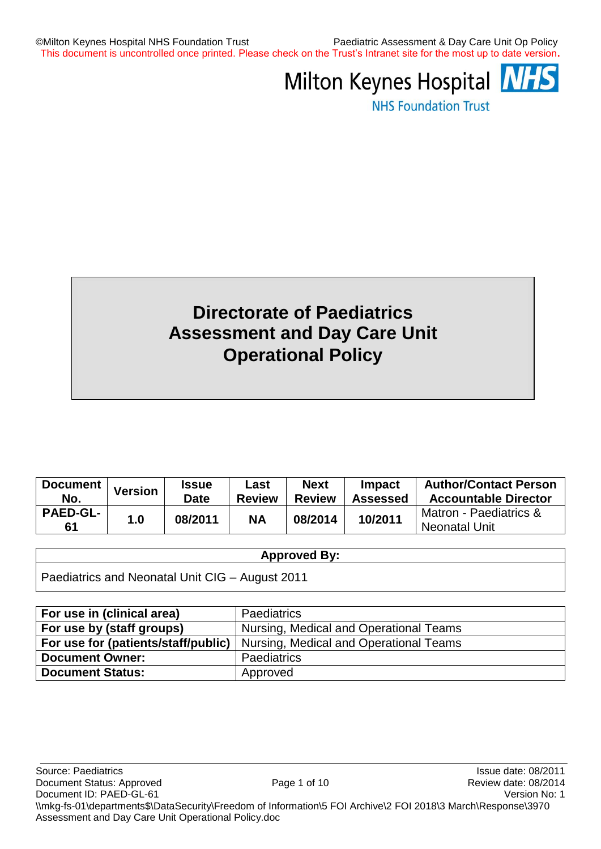©Milton Keynes Hospital NHS Foundation Trust Paediatric Assessment & Day Care Unit Op Policy This document is uncontrolled once printed. Please check on the Trust's Intranet site for the most up to date version**.**



**NHS Foundation Trust** 

# **Directorate of Paediatrics Assessment and Day Care Unit Operational Policy**

| Document              | <b>Version</b> | <b>Issue</b> | Last          | <b>Next</b>   | Impact          | <b>Author/Contact Person</b>            |
|-----------------------|----------------|--------------|---------------|---------------|-----------------|-----------------------------------------|
| No.                   |                | Date         | <b>Review</b> | <b>Review</b> | <b>Assessed</b> | <b>Accountable Director</b>             |
| <b>PAED-GL-</b><br>61 | 1.0            | 08/2011      | <b>NA</b>     | 08/2014       | 10/2011         | Matron - Paediatrics &<br>Neonatal Unit |

#### **Approved By:**

| Paediatrics and Neonatal Unit CIG - August 2011 |  |  |  |  |  |  |
|-------------------------------------------------|--|--|--|--|--|--|
|-------------------------------------------------|--|--|--|--|--|--|

| For use in (clinical area)          | <b>Paediatrics</b>                     |
|-------------------------------------|----------------------------------------|
| For use by (staff groups)           | Nursing, Medical and Operational Teams |
| For use for (patients/staff/public) | Nursing, Medical and Operational Teams |
| <b>Document Owner:</b>              | <b>Paediatrics</b>                     |
| <b>Document Status:</b>             | Approved                               |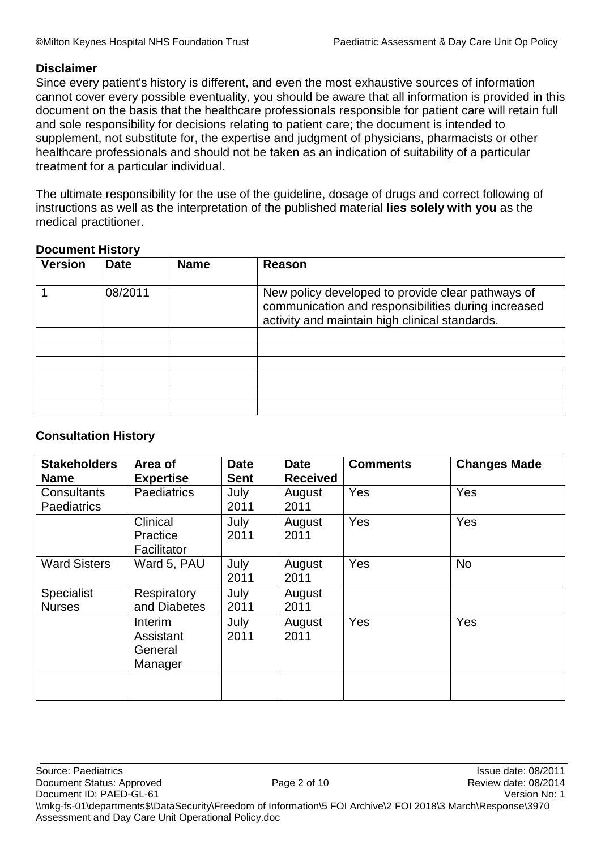#### **Disclaimer**

Since every patient's history is different, and even the most exhaustive sources of information cannot cover every possible eventuality, you should be aware that all information is provided in this document on the basis that the healthcare professionals responsible for patient care will retain full and sole responsibility for decisions relating to patient care; the document is intended to supplement, not substitute for, the expertise and judgment of physicians, pharmacists or other healthcare professionals and should not be taken as an indication of suitability of a particular treatment for a particular individual.

The ultimate responsibility for the use of the guideline, dosage of drugs and correct following of instructions as well as the interpretation of the published material **lies solely with you** as the medical practitioner.

### **Document History**

| <b>Version</b> | <b>Date</b> | <b>Name</b> | Reason                                                                                                                                                     |
|----------------|-------------|-------------|------------------------------------------------------------------------------------------------------------------------------------------------------------|
|                | 08/2011     |             | New policy developed to provide clear pathways of<br>communication and responsibilities during increased<br>activity and maintain high clinical standards. |
|                |             |             |                                                                                                                                                            |
|                |             |             |                                                                                                                                                            |
|                |             |             |                                                                                                                                                            |
|                |             |             |                                                                                                                                                            |
|                |             |             |                                                                                                                                                            |
|                |             |             |                                                                                                                                                            |

### **Consultation History**

| <b>Stakeholders</b>                                     | Area of                                    | <b>Date</b><br><b>Sent</b> | <b>Date</b>                       | <b>Comments</b> | <b>Changes Made</b> |
|---------------------------------------------------------|--------------------------------------------|----------------------------|-----------------------------------|-----------------|---------------------|
| <b>Name</b><br><b>Consultants</b><br><b>Paediatrics</b> | <b>Expertise</b><br><b>Paediatrics</b>     | July<br>2011               | <b>Received</b><br>August<br>2011 | <b>Yes</b>      | Yes                 |
|                                                         | Clinical<br>Practice<br>Facilitator        | July<br>2011               | August<br>2011                    | <b>Yes</b>      | Yes                 |
| <b>Ward Sisters</b>                                     | Ward 5, PAU                                | July<br>2011               | August<br>2011                    | <b>Yes</b>      | <b>No</b>           |
| <b>Specialist</b><br><b>Nurses</b>                      | Respiratory<br>and Diabetes                | July<br>2011               | August<br>2011                    |                 |                     |
|                                                         | Interim<br>Assistant<br>General<br>Manager | July<br>2011               | August<br>2011                    | <b>Yes</b>      | Yes                 |
|                                                         |                                            |                            |                                   |                 |                     |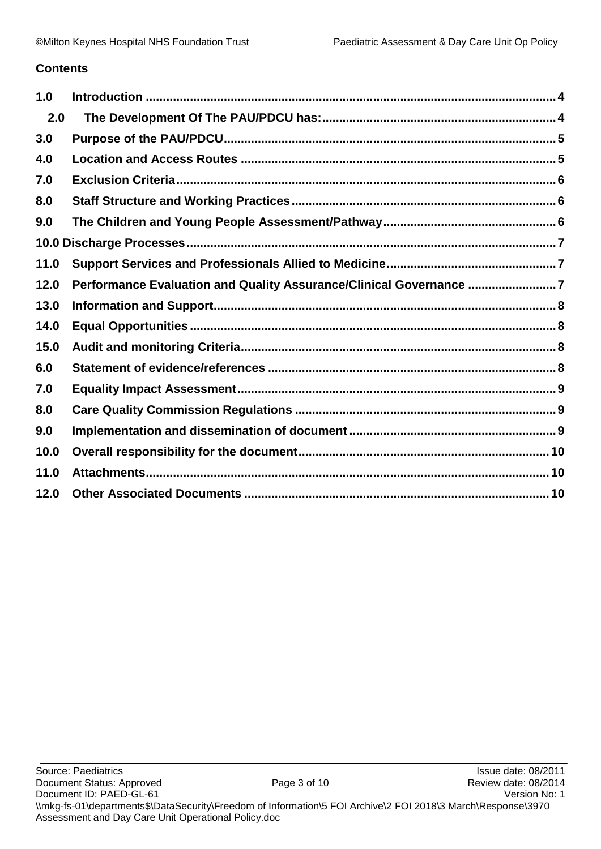### **Contents**

| 1.0  |                                                                    |  |
|------|--------------------------------------------------------------------|--|
| 2.0  |                                                                    |  |
| 3.0  |                                                                    |  |
| 4.0  |                                                                    |  |
| 7.0  |                                                                    |  |
| 8.0  |                                                                    |  |
| 9.0  |                                                                    |  |
|      |                                                                    |  |
| 11.0 |                                                                    |  |
| 12.0 | Performance Evaluation and Quality Assurance/Clinical Governance 7 |  |
| 13.0 |                                                                    |  |
| 14.0 |                                                                    |  |
| 15.0 |                                                                    |  |
| 6.0  |                                                                    |  |
| 7.0  |                                                                    |  |
| 8.0  |                                                                    |  |
| 9.0  |                                                                    |  |
| 10.0 |                                                                    |  |
| 11.0 |                                                                    |  |
| 12.0 |                                                                    |  |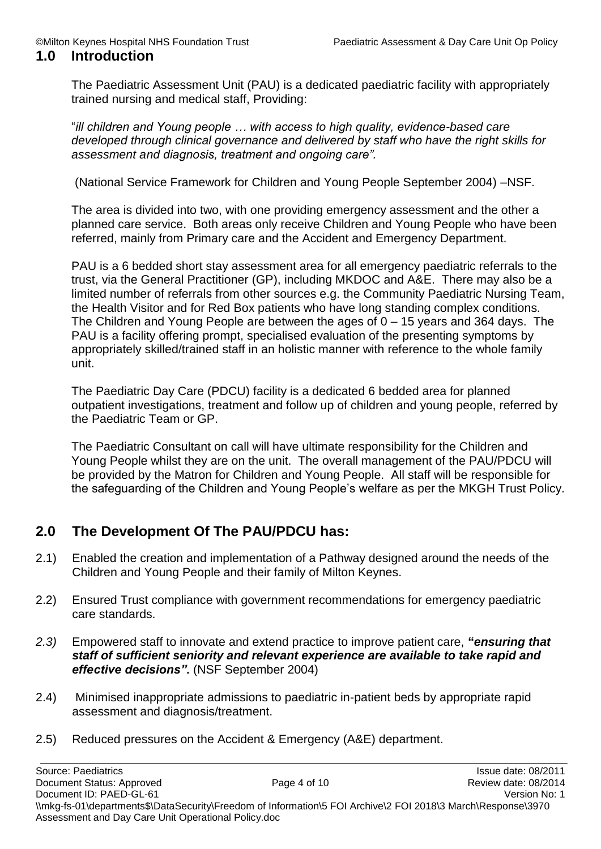#### <span id="page-3-0"></span>**1.0 Introduction**

The Paediatric Assessment Unit (PAU) is a dedicated paediatric facility with appropriately trained nursing and medical staff, Providing:

"*ill children and Young people … with access to high quality, evidence-based care developed through clinical governance and delivered by staff who have the right skills for assessment and diagnosis, treatment and ongoing care".*

(National Service Framework for Children and Young People September 2004) –NSF.

The area is divided into two, with one providing emergency assessment and the other a planned care service. Both areas only receive Children and Young People who have been referred, mainly from Primary care and the Accident and Emergency Department.

PAU is a 6 bedded short stay assessment area for all emergency paediatric referrals to the trust, via the General Practitioner (GP), including MKDOC and A&E. There may also be a limited number of referrals from other sources e.g. the Community Paediatric Nursing Team, the Health Visitor and for Red Box patients who have long standing complex conditions. The Children and Young People are between the ages of 0 – 15 years and 364 days. The PAU is a facility offering prompt, specialised evaluation of the presenting symptoms by appropriately skilled/trained staff in an holistic manner with reference to the whole family unit.

The Paediatric Day Care (PDCU) facility is a dedicated 6 bedded area for planned outpatient investigations, treatment and follow up of children and young people, referred by the Paediatric Team or GP.

The Paediatric Consultant on call will have ultimate responsibility for the Children and Young People whilst they are on the unit. The overall management of the PAU/PDCU will be provided by the Matron for Children and Young People. All staff will be responsible for the safeguarding of the Children and Young People's welfare as per the MKGH Trust Policy.

### <span id="page-3-1"></span>**2.0 The Development Of The PAU/PDCU has:**

- 2.1) Enabled the creation and implementation of a Pathway designed around the needs of the Children and Young People and their family of Milton Keynes.
- 2.2) Ensured Trust compliance with government recommendations for emergency paediatric care standards.
- *2.3)* Empowered staff to innovate and extend practice to improve patient care, **"***ensuring that staff of sufficient seniority and relevant experience are available to take rapid and effective decisions".* (NSF September 2004)
- 2.4) Minimised inappropriate admissions to paediatric in-patient beds by appropriate rapid assessment and diagnosis/treatment.
- 2.5) Reduced pressures on the Accident & Emergency (A&E) department.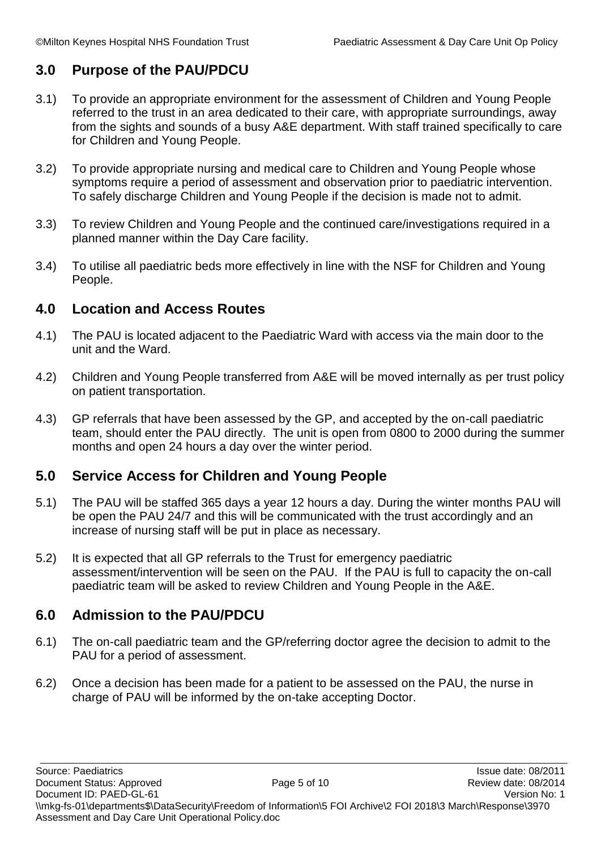# <span id="page-4-0"></span>**3.0 Purpose of the PAU/PDCU**

- 3.1) To provide an appropriate environment for the assessment of Children and Young People referred to the trust in an area dedicated to their care, with appropriate surroundings, away from the sights and sounds of a busy A&E department. With staff trained specifically to care for Children and Young People.
- 3.2) To provide appropriate nursing and medical care to Children and Young People whose symptoms require a period of assessment and observation prior to paediatric intervention. To safely discharge Children and Young People if the decision is made not to admit.
- 3.3) To review Children and Young People and the continued care/investigations required in a planned manner within the Day Care facility.
- 3.4) To utilise all paediatric beds more effectively in line with the NSF for Children and Young People.

### <span id="page-4-1"></span>**4.0 Location and Access Routes**

- 4.1) The PAU is located adjacent to the Paediatric Ward with access via the main door to the unit and the Ward.
- 4.2) Children and Young People transferred from A&E will be moved internally as per trust policy on patient transportation.
- 4.3) GP referrals that have been assessed by the GP, and accepted by the on-call paediatric team, should enter the PAU directly. The unit is open from 0800 to 2000 during the summer months and open 24 hours a day over the winter period.

### **5.0 Service Access for Children and Young People**

- 5.1) The PAU will be staffed 365 days a year 12 hours a day. During the winter months PAU will be open the PAU 24/7 and this will be communicated with the trust accordingly and an increase of nursing staff will be put in place as necessary.
- 5.2) It is expected that all GP referrals to the Trust for emergency paediatric assessment/intervention will be seen on the PAU. If the PAU is full to capacity the on-call paediatric team will be asked to review Children and Young People in the A&E.

### **6.0 Admission to the PAU/PDCU**

- 6.1) The on-call paediatric team and the GP/referring doctor agree the decision to admit to the PAU for a period of assessment.
- 6.2) Once a decision has been made for a patient to be assessed on the PAU, the nurse in charge of PAU will be informed by the on-take accepting Doctor.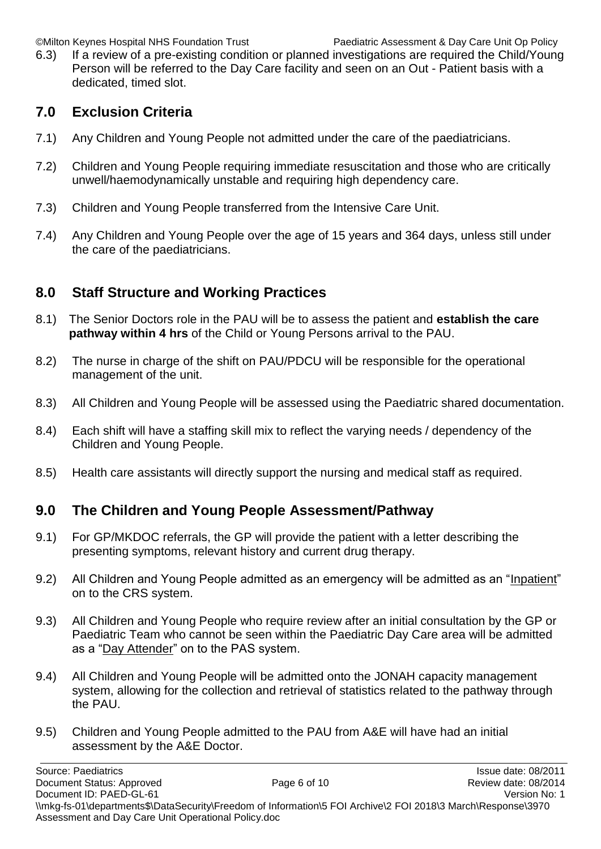©Milton Keynes Hospital NHS Foundation Trust Paediatric Assessment & Day Care Unit Op Policy

6.3) If a review of a pre-existing condition or planned investigations are required the Child/Young Person will be referred to the Day Care facility and seen on an Out - Patient basis with a dedicated, timed slot.

## <span id="page-5-0"></span>**7.0 Exclusion Criteria**

- 7.1) Any Children and Young People not admitted under the care of the paediatricians.
- 7.2) Children and Young People requiring immediate resuscitation and those who are critically unwell/haemodynamically unstable and requiring high dependency care.
- 7.3) Children and Young People transferred from the Intensive Care Unit.
- 7.4) Any Children and Young People over the age of 15 years and 364 days, unless still under the care of the paediatricians.

# <span id="page-5-1"></span>**8.0 Staff Structure and Working Practices**

- 8.1) The Senior Doctors role in the PAU will be to assess the patient and **establish the care pathway within 4 hrs** of the Child or Young Persons arrival to the PAU.
- 8.2) The nurse in charge of the shift on PAU/PDCU will be responsible for the operational management of the unit.
- 8.3) All Children and Young People will be assessed using the Paediatric shared documentation.
- 8.4) Each shift will have a staffing skill mix to reflect the varying needs / dependency of the Children and Young People.
- 8.5) Health care assistants will directly support the nursing and medical staff as required.

### <span id="page-5-2"></span>**9.0 The Children and Young People Assessment/Pathway**

- 9.1) For GP/MKDOC referrals, the GP will provide the patient with a letter describing the presenting symptoms, relevant history and current drug therapy.
- 9.2) All Children and Young People admitted as an emergency will be admitted as an "Inpatient" on to the CRS system.
- 9.3) All Children and Young People who require review after an initial consultation by the GP or Paediatric Team who cannot be seen within the Paediatric Day Care area will be admitted as a "Day Attender" on to the PAS system.
- 9.4) All Children and Young People will be admitted onto the JONAH capacity management system, allowing for the collection and retrieval of statistics related to the pathway through the PAU.
- 9.5) Children and Young People admitted to the PAU from A&E will have had an initial assessment by the A&E Doctor.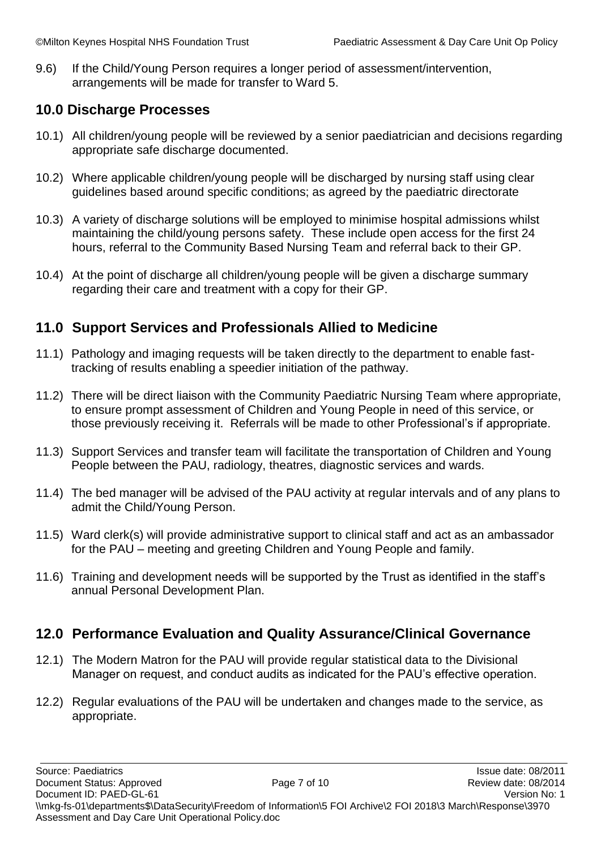9.6) If the Child/Young Person requires a longer period of assessment/intervention, arrangements will be made for transfer to Ward 5.

### <span id="page-6-0"></span>**10.0 Discharge Processes**

- 10.1) All children/young people will be reviewed by a senior paediatrician and decisions regarding appropriate safe discharge documented.
- 10.2) Where applicable children/young people will be discharged by nursing staff using clear guidelines based around specific conditions; as agreed by the paediatric directorate
- 10.3) A variety of discharge solutions will be employed to minimise hospital admissions whilst maintaining the child/young persons safety. These include open access for the first 24 hours, referral to the Community Based Nursing Team and referral back to their GP.
- 10.4) At the point of discharge all children/young people will be given a discharge summary regarding their care and treatment with a copy for their GP.

### <span id="page-6-1"></span>**11.0 Support Services and Professionals Allied to Medicine**

- 11.1) Pathology and imaging requests will be taken directly to the department to enable fasttracking of results enabling a speedier initiation of the pathway.
- 11.2) There will be direct liaison with the Community Paediatric Nursing Team where appropriate, to ensure prompt assessment of Children and Young People in need of this service, or those previously receiving it. Referrals will be made to other Professional's if appropriate.
- 11.3) Support Services and transfer team will facilitate the transportation of Children and Young People between the PAU, radiology, theatres, diagnostic services and wards.
- 11.4) The bed manager will be advised of the PAU activity at regular intervals and of any plans to admit the Child/Young Person.
- 11.5) Ward clerk(s) will provide administrative support to clinical staff and act as an ambassador for the PAU – meeting and greeting Children and Young People and family.
- 11.6) Training and development needs will be supported by the Trust as identified in the staff's annual Personal Development Plan.

### <span id="page-6-2"></span>**12.0 Performance Evaluation and Quality Assurance/Clinical Governance**

- 12.1) The Modern Matron for the PAU will provide regular statistical data to the Divisional Manager on request, and conduct audits as indicated for the PAU's effective operation.
- 12.2) Regular evaluations of the PAU will be undertaken and changes made to the service, as appropriate.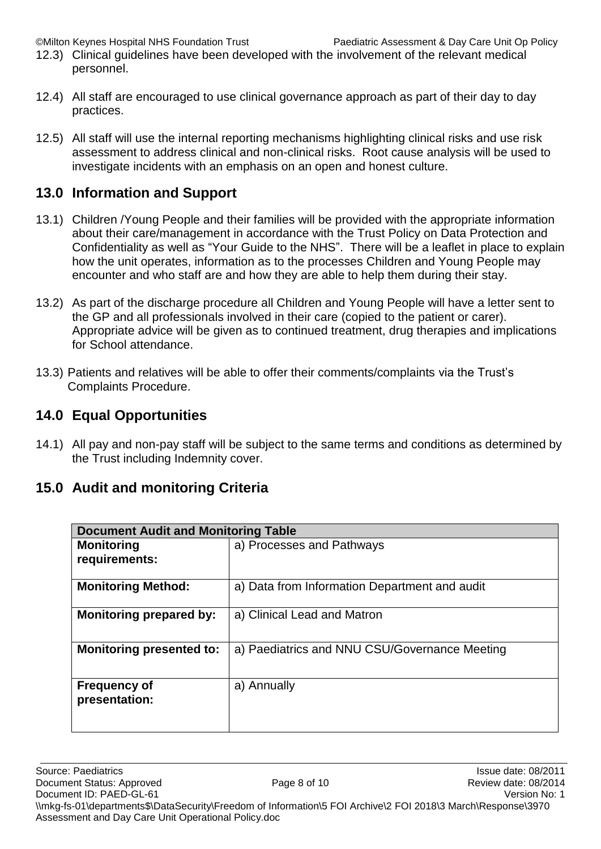©Milton Keynes Hospital NHS Foundation Trust Paediatric Assessment & Day Care Unit Op Policy

- 12.3) Clinical guidelines have been developed with the involvement of the relevant medical personnel.
- 12.4) All staff are encouraged to use clinical governance approach as part of their day to day practices.
- 12.5) All staff will use the internal reporting mechanisms highlighting clinical risks and use risk assessment to address clinical and non-clinical risks. Root cause analysis will be used to investigate incidents with an emphasis on an open and honest culture.

### <span id="page-7-0"></span>**13.0 Information and Support**

- 13.1) Children /Young People and their families will be provided with the appropriate information about their care/management in accordance with the Trust Policy on Data Protection and Confidentiality as well as "Your Guide to the NHS". There will be a leaflet in place to explain how the unit operates, information as to the processes Children and Young People may encounter and who staff are and how they are able to help them during their stay.
- 13.2) As part of the discharge procedure all Children and Young People will have a letter sent to the GP and all professionals involved in their care (copied to the patient or carer). Appropriate advice will be given as to continued treatment, drug therapies and implications for School attendance.
- 13.3) Patients and relatives will be able to offer their comments/complaints via the Trust's Complaints Procedure.

### <span id="page-7-1"></span>**14.0 Equal Opportunities**

14.1) All pay and non-pay staff will be subject to the same terms and conditions as determined by the Trust including Indemnity cover.

### <span id="page-7-2"></span>**15.0 Audit and monitoring Criteria**

| <b>Document Audit and Monitoring Table</b> |                                               |  |  |  |
|--------------------------------------------|-----------------------------------------------|--|--|--|
| <b>Monitoring</b><br>requirements:         | a) Processes and Pathways                     |  |  |  |
| <b>Monitoring Method:</b>                  | a) Data from Information Department and audit |  |  |  |
| <b>Monitoring prepared by:</b>             | a) Clinical Lead and Matron                   |  |  |  |
| <b>Monitoring presented to:</b>            | a) Paediatrics and NNU CSU/Governance Meeting |  |  |  |
| <b>Frequency of</b><br>presentation:       | a) Annually                                   |  |  |  |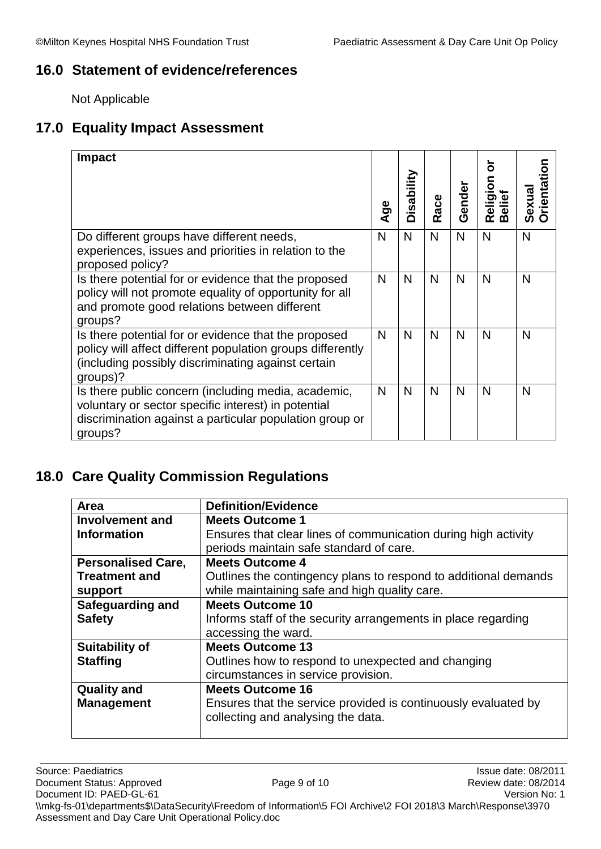### <span id="page-8-0"></span>**16.0 Statement of evidence/references**

Not Applicable

## <span id="page-8-1"></span>**17.0 Equality Impact Assessment**

| <b>Impact</b>                                                                                                                                                                        | Age | Disability | ace<br>œ | Gender | Religion<br>Belief | rientation<br>exua<br>Ō |
|--------------------------------------------------------------------------------------------------------------------------------------------------------------------------------------|-----|------------|----------|--------|--------------------|-------------------------|
| Do different groups have different needs,<br>experiences, issues and priorities in relation to the<br>proposed policy?                                                               | N   | N          | N        | N      | N                  | N                       |
| Is there potential for or evidence that the proposed<br>policy will not promote equality of opportunity for all<br>and promote good relations between different<br>groups?           | N   | N          | N        | N      | N                  | N                       |
| Is there potential for or evidence that the proposed<br>policy will affect different population groups differently<br>(including possibly discriminating against certain<br>groups)? | N   | N          | N        | N      | N                  | N                       |
| Is there public concern (including media, academic,<br>voluntary or sector specific interest) in potential<br>discrimination against a particular population group or<br>groups?     | N   | N          | N        | N      | N                  | N                       |

# <span id="page-8-2"></span>**18.0 Care Quality Commission Regulations**

| Area                      | <b>Definition/Evidence</b>                                      |  |  |  |
|---------------------------|-----------------------------------------------------------------|--|--|--|
| Involvement and           | <b>Meets Outcome 1</b>                                          |  |  |  |
| <b>Information</b>        | Ensures that clear lines of communication during high activity  |  |  |  |
|                           | periods maintain safe standard of care.                         |  |  |  |
| <b>Personalised Care,</b> | <b>Meets Outcome 4</b>                                          |  |  |  |
| <b>Treatment and</b>      | Outlines the contingency plans to respond to additional demands |  |  |  |
| support                   | while maintaining safe and high quality care.                   |  |  |  |
| <b>Safeguarding and</b>   | <b>Meets Outcome 10</b>                                         |  |  |  |
| <b>Safety</b>             | Informs staff of the security arrangements in place regarding   |  |  |  |
|                           | accessing the ward.                                             |  |  |  |
| <b>Suitability of</b>     | <b>Meets Outcome 13</b>                                         |  |  |  |
| <b>Staffing</b>           | Outlines how to respond to unexpected and changing              |  |  |  |
|                           | circumstances in service provision.                             |  |  |  |
| <b>Quality and</b>        | <b>Meets Outcome 16</b>                                         |  |  |  |
| <b>Management</b>         | Ensures that the service provided is continuously evaluated by  |  |  |  |
|                           | collecting and analysing the data.                              |  |  |  |
|                           |                                                                 |  |  |  |